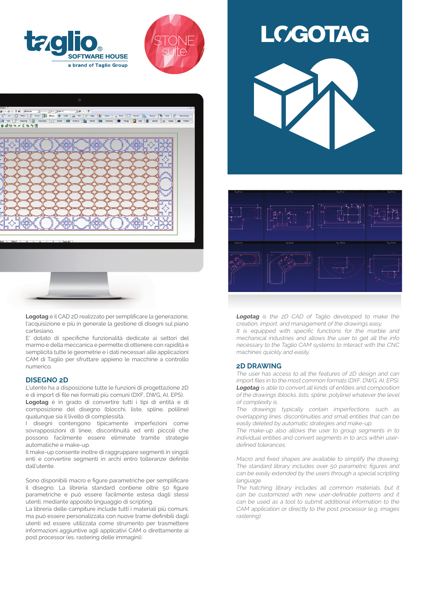





**Logotag** è il CAD 2D realizzato per semplificare la generazione, l'acquisizione e più in generale la gestione di disegni sul piano cartesiano.

E' dotato di specifiche funzionalità dedicate ai settori del marmo e della meccanica e permette di ottenere con rapidità e semplicità tutte le geometrie e i dati necessari alle applicazioni CAM di Taglio per sfruttare appieno le macchine a controllo numerico.

#### **DISEGNO 2D**

L'utente ha a disposizione tutte le funzioni di progettazione 2D e di import di file nei formati più comuni (DXF, DWG, AI, EPS). **Logotag** è in grado di convertire tutti i tipi di entità e di composizione del disegno (blocchi, liste, spline, poliline) qualunque sia il livello di complessità.

I disegni contengono tipicamente imperfezioni come sovrapposizioni di linee, discontinuità ed enti piccoli che possono facilmente essere eliminate tramite strategie automatiche e make-up.

Il make-up consente inoltre di raggruppare segmenti in singoli enti e convertire segmenti in archi entro tolleranze definite dall'utente.

Sono disponibili macro e figure parametriche per semplificare il disegno. La libreria standard contiene oltre 50 figure parametriche e può essere facilmente estesa dagli stessi utenti, mediante apposito linguaggio di scripting.

La libreria delle campiture include tutti i materiali più comuni, ma può essere personalizzata con nuove trame definibili dagli utenti ed essere utilizzata come strumento per trasmettere informazioni aggiuntive agli applicativi CAM o direttamente ai post processor (es. rastering delle immagini).





**Logotag** is the 2D CAD of Taglio developed to make the creation, import, and management of the drawings easy.

It is equipped with specific functions for the marble and mechanical industries and allows the user to get all the info necessary to the Taglio CAM systems to interact with the CNC machines quickly and easily.

#### **2D DRAWING**

The user has access to all the features of 2D design and can import files in to the most common formats (DXF, DWG, AI, EPS). **Logotag** is able to convert all kinds of entities and composition of the drawings (blocks, lists, spline, polyline) whatever the level of complexity is.

The drawings typically contain imperfections such as overlapping lines, discontinuities and small entities that can be easily deleted by automatic strategies and make-up.

The make-up also allows the user to group segments in to individual entities and convert segments in to arcs within userdefined tolerances.

Macro and fixed shapes are available to simplify the drawing. The standard library includes over 50 parametric figures and can be easily extended by the users through a special scripting language

The hatching library includes all common materials, but it can be customized with new user-definable patterns and it can be used as a tool to submit additional information to the CAM application or directly to the post processor (e.g. images rastering).